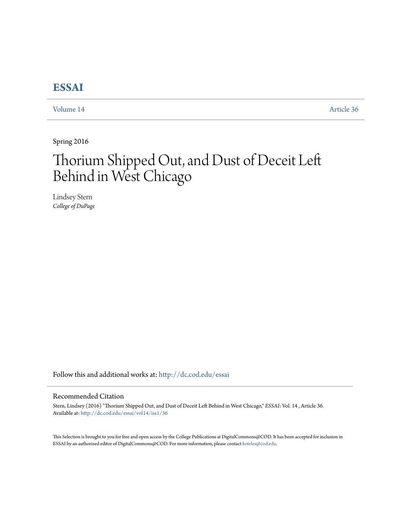## **[ESSAI](http://dc.cod.edu/essai?utm_source=dc.cod.edu%2Fessai%2Fvol14%2Fiss1%2F36&utm_medium=PDF&utm_campaign=PDFCoverPages)**

[Volume 14](http://dc.cod.edu/essai/vol14?utm_source=dc.cod.edu%2Fessai%2Fvol14%2Fiss1%2F36&utm_medium=PDF&utm_campaign=PDFCoverPages) [Article 36](http://dc.cod.edu/essai/vol14/iss1/36?utm_source=dc.cod.edu%2Fessai%2Fvol14%2Fiss1%2F36&utm_medium=PDF&utm_campaign=PDFCoverPages)

Spring 2016

# Thorium Shipped Out, and Dust of Deceit Left Behind in West Chicago

Lindsey Stern *College of DuPage*

Follow this and additional works at: [http://dc.cod.edu/essai](http://dc.cod.edu/essai?utm_source=dc.cod.edu%2Fessai%2Fvol14%2Fiss1%2F36&utm_medium=PDF&utm_campaign=PDFCoverPages)

### Recommended Citation

Stern, Lindsey (2016) "Thorium Shipped Out, and Dust of Deceit Left Behind in West Chicago," *ESSAI*: Vol. 14 , Article 36. Available at: [http://dc.cod.edu/essai/vol14/iss1/36](http://dc.cod.edu/essai/vol14/iss1/36?utm_source=dc.cod.edu%2Fessai%2Fvol14%2Fiss1%2F36&utm_medium=PDF&utm_campaign=PDFCoverPages)

This Selection is brought to you for free and open access by the College Publications at DigitalCommons@COD. It has been accepted for inclusion in ESSAI by an authorized editor of DigitalCommons@COD. For more information, please contact [koteles@cod.edu.](mailto:koteles@cod.edu)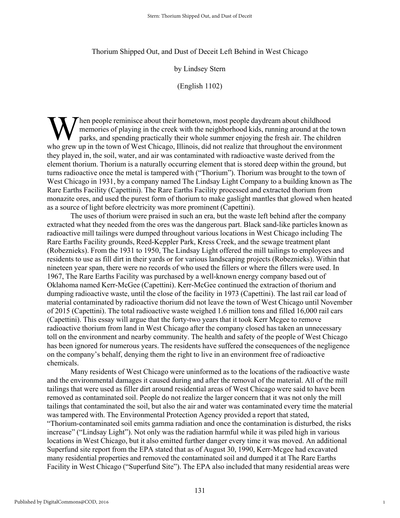#### Thorium Shipped Out, and Dust of Deceit Left Behind in West Chicago

### by Lindsey Stern

(English 1102)

hen people reminisce about their hometown, most people daydream about childhood memories of playing in the creek with the neighborhood kids, running around at the town parks, and spending practically their whole summer enjoying the fresh air. The children When people reminisce about their hometown, most people daydream about childhood<br>
memories of playing in the creek with the neighborhood kids, running around at the town<br>
parks, and spending practically their whole summer they played in, the soil, water, and air was contaminated with radioactive waste derived from the element thorium. Thorium is a naturally occurring element that is stored deep within the ground, but turns radioactive once the metal is tampered with ("Thorium"). Thorium was brought to the town of West Chicago in 1931, by a company named The Lindsay Light Company to a building known as The Rare Earths Facility (Capettini). The Rare Earths Facility processed and extracted thorium from monazite ores, and used the purest form of thorium to make gaslight mantles that glowed when heated as a source of light before electricity was more prominent (Capettini).

The uses of thorium were praised in such an era, but the waste left behind after the company extracted what they needed from the ores was the dangerous part. Black sand-like particles known as radioactive mill tailings were dumped throughout various locations in West Chicago including The Rare Earths Facility grounds, Reed-Keppler Park, Kress Creek, and the sewage treatment plant (Robeznieks). From the 1931 to 1950, The Lindsay Light offered the mill tailings to employees and residents to use as fill dirt in their yards or for various landscaping projects (Robeznieks). Within that nineteen year span, there were no records of who used the fillers or where the fillers were used. In 1967, The Rare Earths Facility was purchased by a well-known energy company based out of Oklahoma named Kerr-McGee (Capettini). Kerr-McGee continued the extraction of thorium and dumping radioactive waste, until the close of the facility in 1973 (Capettini). The last rail car load of material contaminated by radioactive thorium did not leave the town of West Chicago until November of 2015 (Capettini). The total radioactive waste weighed 1.6 million tons and filled 16,000 rail cars (Capettini). This essay will argue that the forty-two years that it took Kerr Mcgee to remove radioactive thorium from land in West Chicago after the company closed has taken an unnecessary toll on the environment and nearby community. The health and safety of the people of West Chicago has been ignored for numerous years. The residents have suffered the consequences of the negligence on the company's behalf, denying them the right to live in an environment free of radioactive chemicals.

Many residents of West Chicago were uninformed as to the locations of the radioactive waste and the environmental damages it caused during and after the removal of the material. All of the mill tailings that were used as filler dirt around residential areas of West Chicago were said to have been removed as contaminated soil. People do not realize the larger concern that it was not only the mill tailings that contaminated the soil, but also the air and water was contaminated every time the material was tampered with. The Environmental Protection Agency provided a report that stated, "Thorium-contaminated soil emits gamma radiation and once the contamination is disturbed, the risks increase" ("Lindsay Light"). Not only was the radiation harmful while it was piled high in various locations in West Chicago, but it also emitted further danger every time it was moved. An additional Superfund site report from the EPA stated that as of August 30, 1990, Kerr-Mcgee had excavated many residential properties and removed the contaminated soil and dumped it at The Rare Earths Facility in West Chicago ("Superfund Site"). The EPA also included that many residential areas were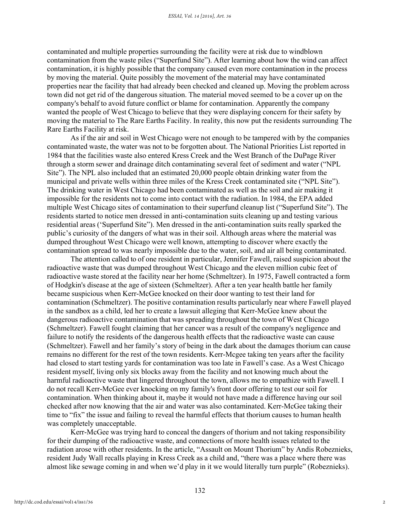contaminated and multiple properties surrounding the facility were at risk due to windblown contamination from the waste piles ("Superfund Site"). After learning about how the wind can affect contamination, it is highly possible that the company caused even more contamination in the process by moving the material. Quite possibly the movement of the material may have contaminated properties near the facility that had already been checked and cleaned up. Moving the problem across town did not get rid of the dangerous situation. The material moved seemed to be a cover up on the company's behalf to avoid future conflict or blame for contamination. Apparently the company wanted the people of West Chicago to believe that they were displaying concern for their safety by moving the material to The Rare Earths Facility. In reality, this now put the residents surrounding The Rare Earths Facility at risk.

As if the air and soil in West Chicago were not enough to be tampered with by the companies contaminated waste, the water was not to be forgotten about. The National Priorities List reported in 1984 that the facilities waste also entered Kress Creek and the West Branch of the DuPage River through a storm sewer and drainage ditch contaminating several feet of sediment and water ("NPL Site"). The NPL also included that an estimated 20,000 people obtain drinking water from the municipal and private wells within three miles of the Kress Creek contaminated site ("NPL Site"). The drinking water in West Chicago had been contaminated as well as the soil and air making it impossible for the residents not to come into contact with the radiation. In 1984, the EPA added multiple West Chicago sites of contamination to their superfund cleanup list ("Superfund Site"). The residents started to notice men dressed in anti-contamination suits cleaning up and testing various residential areas ('Superfund Site"). Men dressed in the anti-contamination suits really sparked the public's curiosity of the dangers of what was in their soil. Although areas where the material was dumped throughout West Chicago were well known, attempting to discover where exactly the contamination spread to was nearly impossible due to the water, soil, and air all being contaminated.

The attention called to of one resident in particular, Jennifer Fawell, raised suspicion about the radioactive waste that was dumped throughout West Chicago and the eleven million cubic feet of radioactive waste stored at the facility near her home (Schmeltzer). In 1975, Fawell contracted a form of Hodgkin's disease at the age of sixteen (Schmeltzer). After a ten year health battle her family became suspicious when Kerr-McGee knocked on their door wanting to test their land for contamination (Schmeltzer). The positive contamination results particularly near where Fawell played in the sandbox as a child, led her to create a lawsuit alleging that Kerr-McGee knew about the dangerous radioactive contamination that was spreading throughout the town of West Chicago (Schmeltzer). Fawell fought claiming that her cancer was a result of the company's negligence and failure to notify the residents of the dangerous health effects that the radioactive waste can cause (Schmeltzer). Fawell and her family's story of being in the dark about the damages thorium can cause remains no different for the rest of the town residents. Kerr-Mcgee taking ten years after the facility had closed to start testing yards for contamination was too late in Fawell's case. As a West Chicago resident myself, living only six blocks away from the facility and not knowing much about the harmful radioactive waste that lingered throughout the town, allows me to empathize with Fawell. I do not recall Kerr-McGee ever knocking on my family's front door offering to test our soil for contamination. When thinking about it, maybe it would not have made a difference having our soil checked after now knowing that the air and water was also contaminated. Kerr-McGee taking their time to "fix" the issue and failing to reveal the harmful effects that thorium causes to human health was completely unacceptable.

Kerr-McGee was trying hard to conceal the dangers of thorium and not taking responsibility for their dumping of the radioactive waste, and connections of more health issues related to the radiation arose with other residents. In the article, "Assault on Mount Thorium" by Andis Robeznieks, resident Judy Wall recalls playing in Kress Creek as a child and, "there was a place where there was almost like sewage coming in and when we'd play in it we would literally turn purple" (Robeznieks).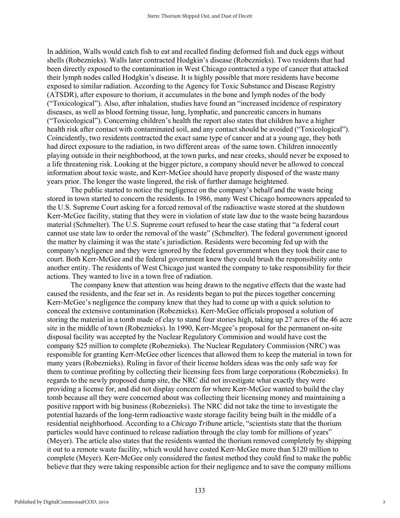In addition, Walls would catch fish to eat and recalled finding deformed fish and duck eggs without shells (Robeznieks). Walls later contracted Hodgkin's disease (Robeznieks). Two residents that had been directly exposed to the contamination in West Chicago contracted a type of cancer that attacked their lymph nodes called Hodgkin's disease. It is highly possible that more residents have become exposed to similar radiation. According to the Agency for Toxic Substance and Disease Registry (ATSDR), after exposure to thorium, it accumulates in the bone and lymph nodes of the body ("Toxicological"). Also, after inhalation, studies have found an "increased incidence of respiratory diseases, as well as blood forming tissue, lung, lymphatic, and pancreatic cancers in humans ("Toxicological"). Concerning children's health the report also states that children have a higher health risk after contact with contaminated soil, and any contact should be avoided ("Toxicological"). Coincidently, two residents contracted the exact same type of cancer and at a young age, they both had direct exposure to the radiation, in two different areas of the same town. Children innocently playing outside in their neighborhood, at the town parks, and near creeks, should never be exposed to a life threatening risk. Looking at the bigger picture, a company should never be allowed to conceal information about toxic waste, and Kerr-McGee should have properly disposed of the waste many years prior. The longer the waste lingered, the risk of further damage heightened.

The public started to notice the negligence on the company's behalf and the waste being stored in town started to concern the residents. In 1986, many West Chicago homeowners appealed to the U.S. Supreme Court asking for a forced removal of the radioactive waste stored at the shutdown Kerr-McGee facility, stating that they were in violation of state law due to the waste being hazardous material (Schmelter). The U.S. Supreme court refused to hear the case stating that "a federal court cannot use state law to order the removal of the waste" (Schmelter). The federal government ignored the matter by claiming it was the state's jurisdiction. Residents were becoming fed up with the company's negligence and they were ignored by the federal government when they took their case to court. Both Kerr-McGee and the federal government knew they could brush the responsibility onto another entity. The residents of West Chicago just wanted the company to take responsibility for their actions. They wanted to live in a town free of radiation.

The company knew that attention was being drawn to the negative effects that the waste had caused the residents, and the fear set in. As residents began to put the pieces together concerning Kerr-McGee's negligence the company knew that they had to come up with a quick solution to conceal the extensive contamination (Robeznieks). Kerr-McGee officials proposed a solution of storing the material in a tomb made of clay to stand four stories high, taking up 27 acres of the 46 acre site in the middle of town (Robeznieks). In 1990, Kerr-Mcgee's proposal for the permanent on-site disposal facility was accepted by the Nuclear Regulatory Commision and would have cost the company \$25 million to complete (Robeznieks). The Nuclear Regulatory Commission (NRC) was responsible for granting Kerr-McGee other licences that allowed them to keep the material in town for many years (Robeznieks). Ruling in favor of their license holders ideas was the only safe way for them to continue profiting by collecting their licensing fees from large corporations (Robeznieks). In regards to the newly proposed dump site, the NRC did not investigate what exactly they were providing a license for, and did not display concern for where Kerr-McGee wanted to build the clay tomb because all they were concerned about was collecting their licensing money and maintaining a positive rapport with big business (Robeznieks). The NRC did not take the time to investigate the potential hazards of the long-term radioactive waste storage facility being built in the middle of a residential neighborhood. According to a *Chicago Tribune* article, "scientists state that the thorium particles would have continued to release radiation through the clay tomb for millions of years" (Meyer). The article also states that the residents wanted the thorium removed completely by shipping it out to a remote waste facility, which would have costed Kerr-McGee more than \$120 million to complete (Meyer). Kerr-McGee only considered the fastest method they could find to make the public believe that they were taking responsible action for their negligence and to save the company millions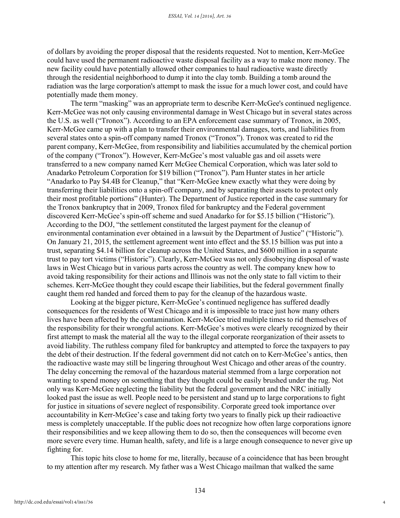of dollars by avoiding the proper disposal that the residents requested. Not to mention, Kerr-McGee could have used the permanent radioactive waste disposal facility as a way to make more money. The new facility could have potentially allowed other companies to haul radioactive waste directly through the residential neighborhood to dump it into the clay tomb. Building a tomb around the radiation was the large corporation's attempt to mask the issue for a much lower cost, and could have potentially made them money.

The term "masking" was an appropriate term to describe Kerr-McGee's continued negligence. Kerr-McGee was not only causing environmental damage in West Chicago but in several states across the U.S. as well ("Tronox"). According to an EPA enforcement case summary of Tronox, in 2005, Kerr-McGee came up with a plan to transfer their environmental damages, torts, and liabilities from several states onto a spin-off company named Tronox ("Tronox"). Tronox was created to rid the parent company, Kerr-McGee, from responsibility and liabilities accumulated by the chemical portion of the company ("Tronox"). However, Kerr-McGee's most valuable gas and oil assets were transferred to a new company named Kerr McGee Chemical Corporation, which was later sold to Anadarko Petroleum Corporation for \$19 billion ("Tronox"). Pam Hunter states in her article "Anadarko to Pay \$4.4B for Cleanup," that "Kerr-McGee knew exactly what they were doing by transferring their liabilities onto a spin-off company, and by separating their assets to protect only their most profitable portions" (Hunter). The Department of Justice reported in the case summary for the Tronox bankruptcy that in 2009, Tronox filed for bankruptcy and the Federal government discovered Kerr-McGee's spin-off scheme and sued Anadarko for for \$5.15 billion ("Historic"). According to the DOJ, "the settlement constituted the largest payment for the cleanup of environmental contamination ever obtained in a lawsuit by the Department of Justice" ("Historic"). On January 21, 2015, the settlement agreement went into effect and the \$5.15 billion was put into a trust, separating \$4.14 billion for cleanup across the United States, and \$600 million in a separate trust to pay tort victims ("Historic"). Clearly, Kerr-McGee was not only disobeying disposal of waste laws in West Chicago but in various parts across the country as well. The company knew how to avoid taking responsibility for their actions and Illinois was not the only state to fall victim to their schemes. Kerr-McGee thought they could escape their liabilities, but the federal government finally caught them red handed and forced them to pay for the cleanup of the hazardous waste.

Looking at the bigger picture, Kerr-McGee's continued negligence has suffered deadly consequences for the residents of West Chicago and it is impossible to trace just how many others lives have been affected by the contamination. Kerr-McGee tried multiple times to rid themselves of the responsibility for their wrongful actions. Kerr-McGee's motives were clearly recognized by their first attempt to mask the material all the way to the illegal corporate reorganization of their assets to avoid liability. The ruthless company filed for bankruptcy and attempted to force the taxpayers to pay the debt of their destruction. If the federal government did not catch on to Kerr-McGee's antics, then the radioactive waste may still be lingering throughout West Chicago and other areas of the country. The delay concerning the removal of the hazardous material stemmed from a large corporation not wanting to spend money on something that they thought could be easily brushed under the rug. Not only was Kerr-McGee neglecting the liability but the federal government and the NRC initially looked past the issue as well. People need to be persistent and stand up to large corporations to fight for justice in situations of severe neglect of responsibility. Corporate greed took importance over accountability in Kerr-McGee's case and taking forty two years to finally pick up their radioactive mess is completely unacceptable. If the public does not recognize how often large corporations ignore their responsibilities and we keep allowing them to do so, then the consequences will become even more severe every time. Human health, safety, and life is a large enough consequence to never give up fighting for.

This topic hits close to home for me, literally, because of a coincidence that has been brought to my attention after my research. My father was a West Chicago mailman that walked the same